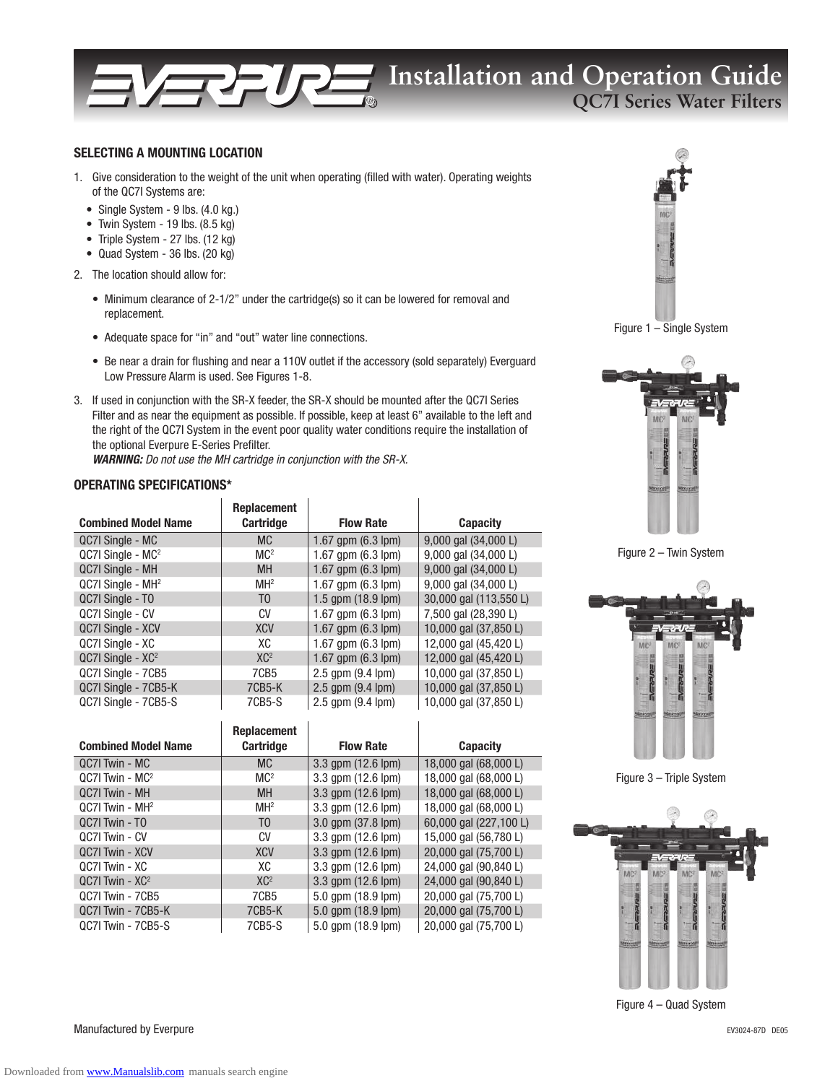## **Installation and Operation Guide QC7I Series Water Filters**

## SELECTING A MOUNTING LOCATION

- 1. Give consideration to the weight of the unit when operating (filled with water). Operating weights of the QC7I Systems are:
	- Single System 9 lbs. (4.0 kg.)
	- Twin System 19 lbs. (8.5 kg)
	- Triple System 27 lbs. (12 kg)
	- Quad System 36 lbs. (20 kg)
- 2. The location should allow for:
	- Minimum clearance of 2-1/2" under the cartridge(s) so it can be lowered for removal and replacement.
	- Adequate space for "in" and "out" water line connections.
	- Be near a drain for flushing and near a 110V outlet if the accessory (sold separately) Everguard Low Pressure Alarm is used. See Figures 1-8.
- 3. If used in conjunction with the SR-X feeder, the SR-X should be mounted after the QC7I Series Filter and as near the equipment as possible. If possible, keep at least 6" available to the left and the right of the QC7I System in the event poor quality water conditions require the installation of the optional Everpure E-Series Prefilter.

WARNING: Do not use the MH cartridge in conjunction with the SR-X.

## OPERATING SPECIFICATIONS\*

| <b>Combined Model Name</b>    | <b>Replacement</b><br><b>Cartridge</b> | <b>Flow Rate</b>             | <b>Capacity</b>                  |
|-------------------------------|----------------------------------------|------------------------------|----------------------------------|
| QC7I Single - MC              | <b>MC</b>                              | 1.67 gpm $(6.3 \text{ lpm})$ | 9,000 gal (34,000 L)             |
| $QC7I$ Single - $MC2$         | MC <sup>2</sup>                        | 1.67 gpm $(6.3 \text{ lpm})$ | 9,000 gal (34,000 L)             |
| QC7I Single - MH              | <b>MH</b>                              | 1.67 gpm $(6.3 \text{ lpm})$ | 9,000 gal (34,000 L)             |
| QC7I Single - MH <sup>2</sup> | MH <sup>2</sup>                        | 1.67 gpm $(6.3 \text{ lpm})$ | $9,000$ gal $(34,000 \text{ L})$ |
| QC7I Single - TO              | T <sub>0</sub>                         | 1.5 gpm $(18.9 \text{ lpm})$ | 30,000 gal (113,550 L)           |
| QC7I Single - CV              | CV                                     | 1.67 gpm (6.3 lpm)           | 7,500 gal (28,390 L)             |
| QC7I Single - XCV             | <b>XCV</b>                             | 1.67 gpm $(6.3 \text{ lpm})$ | 10,000 gal (37,850 L)            |
| QC7I Single - XC              | XC                                     | 1.67 gpm (6.3 lpm)           | 12,000 gal (45,420 L)            |
| $QC7I$ Single - $XC2$         | XC <sup>2</sup>                        | $1.67$ qpm $(6.3$ lpm $)$    | 12,000 gal (45,420 L)            |
| QC7I Single - 7CB5            | 7CB <sub>5</sub>                       | 2.5 gpm (9.4 lpm)            | 10,000 gal (37,850 L)            |
| QC7I Single - 7CB5-K          | 7CB5-K                                 | 2.5 gpm (9.4 lpm)            | 10,000 gal (37,850 L)            |
| QC7I Single - 7CB5-S          | 7CB5-S                                 | $2.5$ gpm $(9.4$ lpm $)$     | 10,000 gal (37,850 L)            |

| <b>Combined Model Name</b>  | <b>Replacement</b><br><b>Cartridge</b> | <b>Flow Rate</b>   | <b>Capacity</b>        |
|-----------------------------|----------------------------------------|--------------------|------------------------|
| QC7I Twin - MC              | <b>MC</b>                              | 3.3 gpm (12.6 lpm) | 18,000 gal (68,000 L)  |
| $QC7I$ Twin - $MC2$         | MC <sup>2</sup>                        | 3.3 qpm (12.6 lpm) | 18,000 gal (68,000 L)  |
| QC7I Twin - MH              | <b>MH</b>                              | 3.3 gpm (12.6 lpm) | 18,000 gal (68,000 L)  |
| QC7I Twin - MH <sup>2</sup> | MH <sup>2</sup>                        | 3.3 qpm (12.6 lpm) | 18,000 gal (68,000 L)  |
| QC7I Twin - TO              | T <sub>0</sub>                         | 3.0 gpm (37.8 lpm) | 60,000 gal (227,100 L) |
| QC7I Twin - CV              | CV                                     | 3.3 qpm (12.6 lpm) | 15,000 gal (56,780 L)  |
| QC7I Twin - XCV             | <b>XCV</b>                             | 3.3 gpm (12.6 lpm) | 20,000 gal (75,700 L)  |
| QC7I Twin - XC              | XC                                     | 3.3 qpm (12.6 lpm) | 24,000 gal (90,840 L)  |
| $QC7$ Twin - $XC2$          | XC <sup>2</sup>                        | 3.3 gpm (12.6 lpm) | 24,000 gal (90,840 L)  |
| QC7I Twin - 7CB5            | 7CB <sub>5</sub>                       | 5.0 gpm (18.9 lpm) | 20,000 gal (75,700 L)  |
| QC7I Twin - 7CB5-K          | 7CB5-K                                 | 5.0 gpm (18.9 lpm) | 20,000 gal (75,700 L)  |
| QC7I Twin - 7CB5-S          | 7CB5-S                                 | 5.0 qpm (18.9 lpm) | 20,000 gal (75,700 L)  |



Figure 1 – Single System



Figure 2 – Twin System



Figure 3 – Triple System



Figure 4 – Quad System

Manufactured by Everpure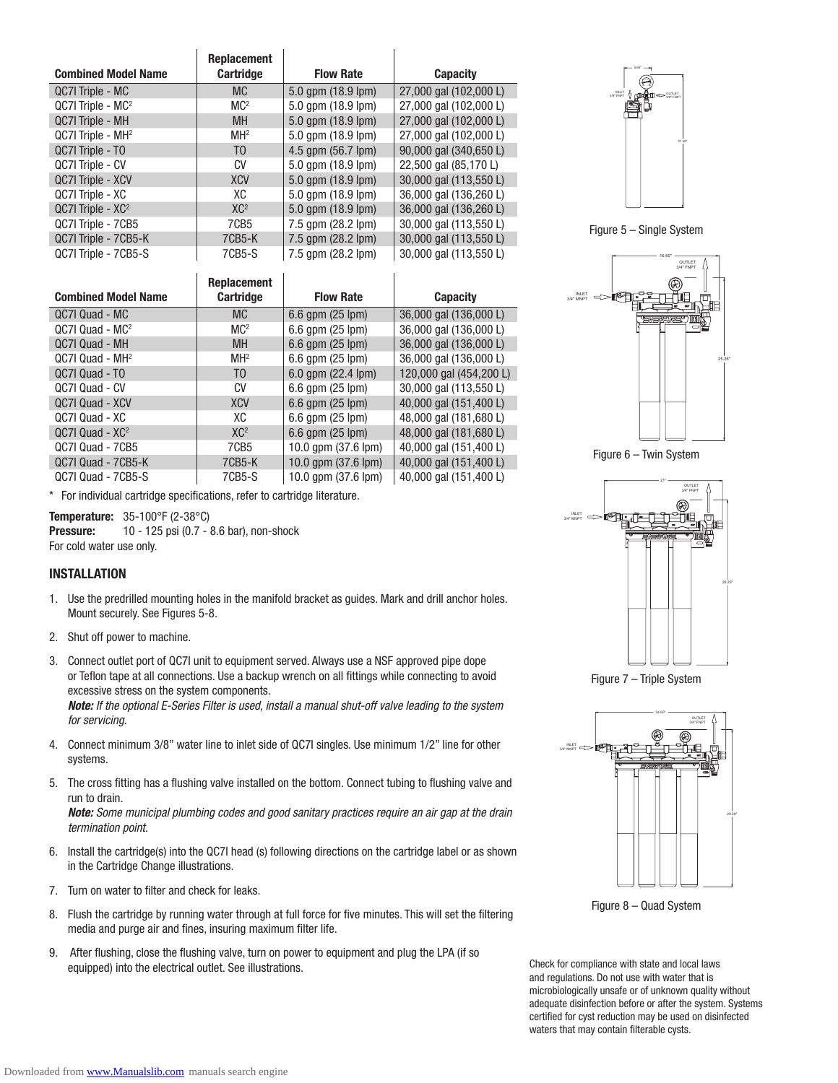|                               | <b>Replacement</b> |                    |                        |
|-------------------------------|--------------------|--------------------|------------------------|
| <b>Combined Model Name</b>    | <b>Cartridge</b>   | <b>Flow Rate</b>   | <b>Capacity</b>        |
| QC7I Triple - MC              | <b>MC</b>          | 5.0 qpm (18.9 lpm) | 27,000 gal (102,000 L) |
| $QC7$ Triple - $MC2$          | MC <sup>2</sup>    | 5.0 qpm (18.9 lpm) | 27,000 gal (102,000 L) |
| QC7I Triple - MH              | <b>MH</b>          | 5.0 qpm (18.9 lpm) | 27,000 gal (102,000 L) |
| QC7I Triple - MH <sup>2</sup> | MH <sup>2</sup>    | 5.0 gpm (18.9 lpm) | 27,000 gal (102,000 L) |
| QC7I Triple - TO              | T <sub>0</sub>     | 4.5 gpm (56.7 lpm) | 90,000 gal (340,650 L) |
| QC7I Triple - CV              | CV                 | 5.0 qpm (18.9 lpm) | 22,500 gal (85,170 L)  |
| QC7I Triple - XCV             | <b>XCV</b>         | 5.0 qpm (18.9 lpm) | 30,000 gal (113,550 L) |
| QC7I Triple - XC              | XC                 | 5.0 qpm (18.9 lpm) | 36,000 gal (136,260 L) |
| $QC7$ Triple - $XC^2$         | XC <sup>2</sup>    | 5.0 qpm (18.9 lpm) | 36,000 gal (136,260 L) |
| QC7I Triple - 7CB5            | 7CB5               | 7.5 qpm (28.2 lpm) | 30,000 gal (113,550 L) |
| QC7I Triple - 7CB5-K          | 7CB5-K             | 7.5 gpm (28.2 lpm) | 30,000 gal (113,550 L) |
| QC7I Triple - 7CB5-S          | 7CB5-S             | 7.5 qpm (28.2 lpm) | 30,000 gal (113,550 L) |

| <b>Combined Model Name</b>  | <b>Replacement</b><br><b>Cartridge</b> | <b>Flow Rate</b>          | <b>Capacity</b>         |
|-----------------------------|----------------------------------------|---------------------------|-------------------------|
| QC7I Quad - MC              | <b>MC</b>                              | $6.6$ gpm $(25$ lpm $)$   | 36,000 gal (136,000 L)  |
| $QC7I$ Quad - $MC2$         | MC <sup>2</sup>                        | 6.6 qpm (25 lpm)          | 36,000 gal (136,000 L)  |
| QC7I Quad - MH              | <b>MH</b>                              | 6.6 gpm (25 lpm)          | 36,000 gal (136,000 L)  |
| QC7I Quad - MH <sup>2</sup> | MH <sup>2</sup>                        | $6.6$ gpm $(25$ lpm $)$   | 36,000 gal (136,000 L)  |
| QC7I Quad - TO              | T <sub>0</sub>                         | $6.0$ gpm $(22.4$ lpm $)$ | 120,000 gal (454,200 L) |
| QC7I Quad - CV              | CV                                     | 6.6 gpm (25 lpm)          | 30,000 gal (113,550 L)  |
| QC7I Quad - XCV             | <b>XCV</b>                             | 6.6 gpm (25 lpm)          | 40,000 gal (151,400 L)  |
| QC7I Quad - XC              | XC                                     | $6.6$ gpm $(25$ lpm $)$   | 48,000 gal (181,680 L)  |
| $QC7I$ Quad - $XC2$         | XC <sup>2</sup>                        | 6.6 qpm (25 lpm)          | 48,000 gal (181,680 L)  |
| QC7I Quad - 7CB5            | 7CB <sub>5</sub>                       | 10.0 qpm (37.6 lpm)       | 40,000 gal (151,400 L)  |
| QC7I Quad - 7CB5-K          | 7CB5-K                                 | 10.0 qpm (37.6 lpm)       | 40,000 gal (151,400 L)  |
| QC7I Quad - 7CB5-S          | 7CB5-S                                 | 10.0 apm (37.6 lpm)       | 40,000 gal (151,400 L)  |

\* For individual cartridge specifications, refer to cartridge literature.

Temperature: 35-100°F (2-38°C) **Pressure:** 10 - 125 psi (0.7 - 8.6 bar), non-shock For cold water use only.

#### INSTALLATION

- 1. Use the predrilled mounting holes in the manifold bracket as guides. Mark and drill anchor holes. Mount securely. See Figures 5-8.
- 2. Shut off power to machine.
- 3. Connect outlet port of QC7I unit to equipment served. Always use a NSF approved pipe dope or Teflon tape at all connections. Use a backup wrench on all fittings while connecting to avoid excessive stress on the system components.

Note: If the optional E-Series Filter is used, install a manual shut-off valve leading to the system for servicing.

- 4. Connect minimum 3/8" water line to inlet side of QC7I singles. Use minimum 1/2" line for other systems.
- 5. The cross fitting has a flushing valve installed on the bottom. Connect tubing to flushing valve and run to drain.

Note: Some municipal plumbing codes and good sanitary practices require an air gap at the drain termination point.

- 6. Install the cartridge(s) into the QC7I head (s) following directions on the cartridge label or as shown in the Cartridge Change illustrations.
- 7. Turn on water to filter and check for leaks.
- 8. Flush the cartridge by running water through at full force for five minutes. This will set the filtering media and purge air and fines, insuring maximum filter life.
- 9. After flushing, close the flushing valve, turn on power to equipment and plug the LPA (if so equipped) into the electrical outlet. See illustrations.



Figure 5 – Single System



Figure 6 – Twin System



Figure 7 – Triple System



Figure 8 – Quad System

Check for compliance with state and local laws and regulations. Do not use with water that is microbiologically unsafe or of unknown quality without adequate disinfection before or after the system. Systems certified for cyst reduction may be used on disinfected waters that may contain filterable cysts.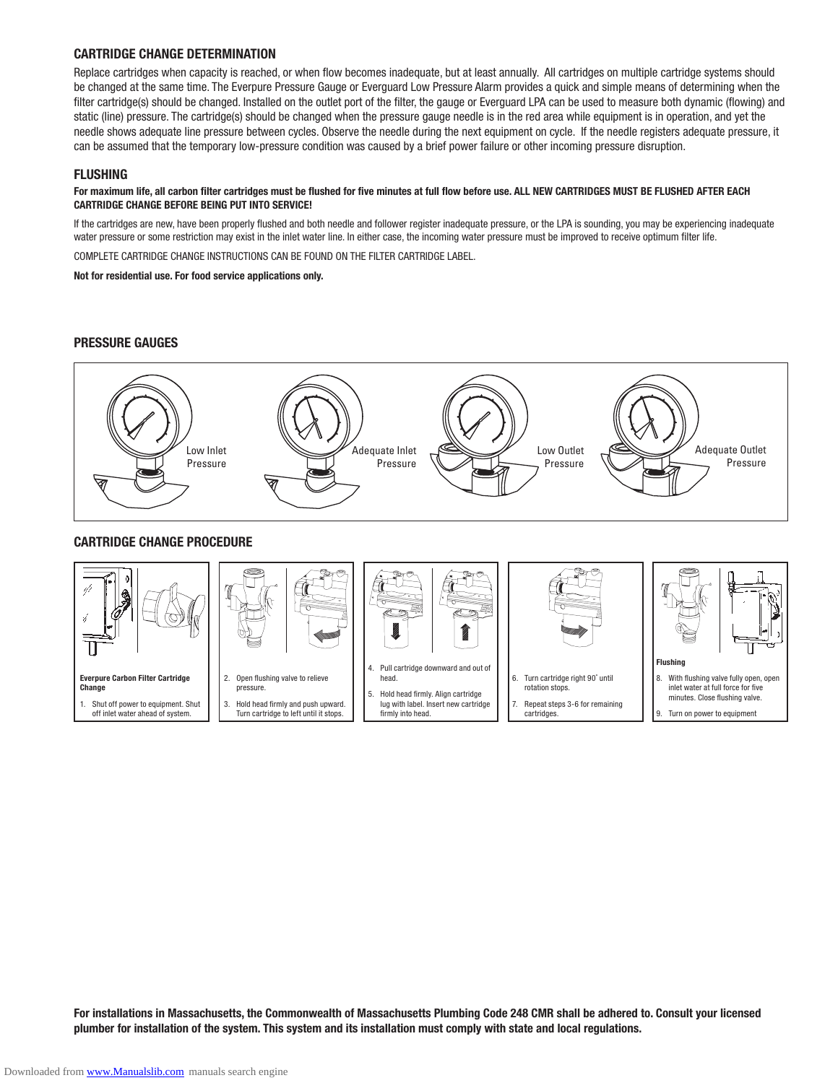## CARTRIDGE CHANGE DETERMINATION

Replace cartridges when capacity is reached, or when flow becomes inadequate, but at least annually. All cartridges on multiple cartridge systems should be changed at the same time. The Everpure Pressure Gauge or Everguard Low Pressure Alarm provides a quick and simple means of determining when the filter cartridge(s) should be changed. Installed on the outlet port of the filter, the gauge or Everguard LPA can be used to measure both dynamic (flowing) and static (line) pressure. The cartridge(s) should be changed when the pressure gauge needle is in the red area while equipment is in operation, and yet the needle shows adequate line pressure between cycles. Observe the needle during the next equipment on cycle. If the needle registers adequate pressure, it can be assumed that the temporary low-pressure condition was caused by a brief power failure or other incoming pressure disruption.

## FLUSHING

#### For maximum life, all carbon filter cartridges must be flushed for five minutes at full flow before use. ALL NEW CARTRIDGES MUST BE FLUSHED AFTER EACH CARTRIDGE CHANGE BEFORE BEING PUT INTO SERVICE!

If the cartridges are new, have been properly flushed and both needle and follower register inadequate pressure, or the LPA is sounding, you may be experiencing inadequate water pressure or some restriction may exist in the inlet water line. In either case, the incoming water pressure must be improved to receive optimum filter life.

COMPLETE CARTRIDGE CHANGE INSTRUCTIONS CAN BE FOUND ON THE FILTER CARTRIDGE LABEL.

Not for residential use. For food service applications only.

## PRESSURE GAUGES



## CARTRIDGE CHANGE PROCEDURE



For installations in Massachusetts, the Commonwealth of Massachusetts Plumbing Code 248 CMR shall be adhered to. Consult your licensed plumber for installation of the system. This system and its installation must comply with state and local regulations.